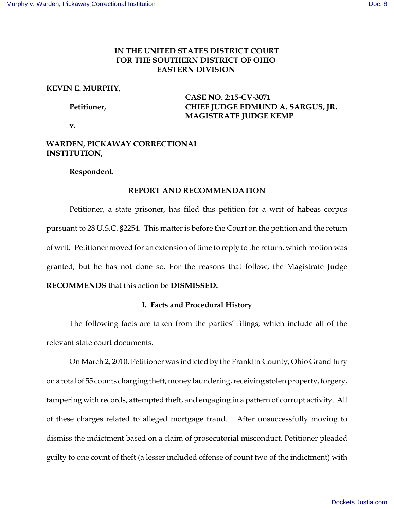# **IN THE UNITED STATES DISTRICT COURT FOR THE SOUTHERN DISTRICT OF OHIO EASTERN DIVISION**

## **KEVIN E. MURPHY,**

**CASE NO. 2:15-CV-3071 Petitioner, CHIEF JUDGE EDMUND A. SARGUS, JR. MAGISTRATE JUDGE KEMP**

**v.** 

# **WARDEN, PICKAWAY CORRECTIONAL INSTITUTION,**

## **Respondent.**

# **REPORT AND RECOMMENDATION**

Petitioner, a state prisoner, has filed this petition for a writ of habeas corpus pursuant to 28 U.S.C. §2254. This matter is before the Court on the petition and the return of writ. Petitioner moved for an extension of time to reply to the return, which motion was granted, but he has not done so. For the reasons that follow, the Magistrate Judge **RECOMMENDS** that this action be **DISMISSED.**

# **I. Facts and Procedural History**

The following facts are taken from the parties' filings, which include all of the relevant state court documents.

On March 2, 2010, Petitioner was indicted by the Franklin County, Ohio Grand Jury on a total of 55 counts charging theft, money laundering, receiving stolen property, forgery, tampering with records, attempted theft, and engaging in a pattern of corrupt activity. All of these charges related to alleged mortgage fraud. After unsuccessfully moving to dismiss the indictment based on a claim of prosecutorial misconduct, Petitioner pleaded guilty to one count of theft (a lesser included offense of count two of the indictment) with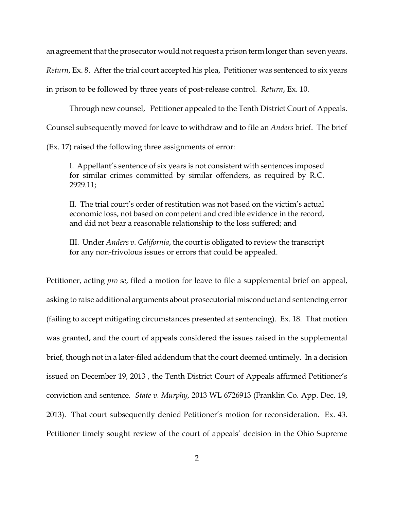an agreement that the prosecutor would not request a prison term longer than seven years.

*Return*, Ex. 8. After the trial court accepted his plea, Petitioner was sentenced to six years

in prison to be followed by three years of post-release control. *Return*, Ex. 10.

Through new counsel, Petitioner appealed to the Tenth District Court of Appeals.

Counsel subsequently moved for leave to withdraw and to file an *Anders* brief. The brief

(Ex. 17) raised the following three assignments of error:

I. Appellant's sentence of six years is not consistent with sentences imposed for similar crimes committed by similar offenders, as required by R.C. 2929.11;

II. The trial court's order of restitution was not based on the victim's actual economic loss, not based on competent and credible evidence in the record, and did not bear a reasonable relationship to the loss suffered; and

III. Under *Anders v. California*, the court is obligated to review the transcript for any non-frivolous issues or errors that could be appealed.

Petitioner, acting *pro se*, filed a motion for leave to file a supplemental brief on appeal, asking to raise additional arguments about prosecutorial misconduct and sentencing error (failing to accept mitigating circumstances presented at sentencing). Ex. 18. That motion was granted, and the court of appeals considered the issues raised in the supplemental brief, though not in a later-filed addendum that the court deemed untimely. In a decision issued on December 19, 2013 , the Tenth District Court of Appeals affirmed Petitioner's conviction and sentence. *State v. Murphy*, 2013 WL 6726913 (Franklin Co. App. Dec. 19, 2013). That court subsequently denied Petitioner's motion for reconsideration. Ex. 43. Petitioner timely sought review of the court of appeals' decision in the Ohio Supreme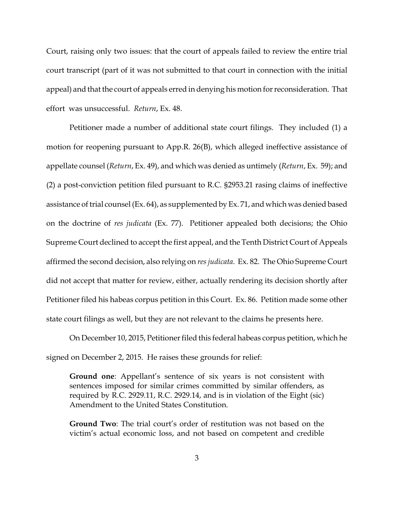Court, raising only two issues: that the court of appeals failed to review the entire trial court transcript (part of it was not submitted to that court in connection with the initial appeal) and that the court of appeals erred in denying his motion for reconsideration. That effort was unsuccessful. *Return*, Ex. 48.

Petitioner made a number of additional state court filings. They included (1) a motion for reopening pursuant to App.R. 26(B), which alleged ineffective assistance of appellate counsel (*Return*, Ex. 49), and which was denied as untimely (*Return*, Ex. 59); and (2) a post-conviction petition filed pursuant to R.C. §2953.21 rasing claims of ineffective assistance of trial counsel (Ex. 64), as supplemented by Ex. 71, and which was denied based on the doctrine of *res judicata* (Ex. 77). Petitioner appealed both decisions; the Ohio Supreme Court declined to accept the first appeal, and the Tenth District Court of Appeals affirmed the second decision, also relying on *res judicata*. Ex. 82. The Ohio Supreme Court did not accept that matter for review, either, actually rendering its decision shortly after Petitioner filed his habeas corpus petition in this Court. Ex. 86. Petition made some other state court filings as well, but they are not relevant to the claims he presents here.

On December 10, 2015, Petitioner filed this federal habeas corpus petition, which he signed on December 2, 2015. He raises these grounds for relief:

**Ground one**: Appellant's sentence of six years is not consistent with sentences imposed for similar crimes committed by similar offenders, as required by R.C. 2929.11, R.C. 2929.14, and is in violation of the Eight (sic) Amendment to the United States Constitution.

**Ground Two**: The trial court's order of restitution was not based on the victim's actual economic loss, and not based on competent and credible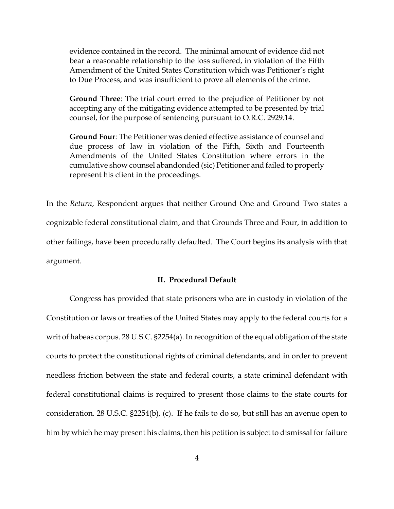evidence contained in the record. The minimal amount of evidence did not bear a reasonable relationship to the loss suffered, in violation of the Fifth Amendment of the United States Constitution which was Petitioner's right to Due Process, and was insufficient to prove all elements of the crime.

**Ground Three**: The trial court erred to the prejudice of Petitioner by not accepting any of the mitigating evidence attempted to be presented by trial counsel, for the purpose of sentencing pursuant to O.R.C. 2929.14.

**Ground Four**: The Petitioner was denied effective assistance of counsel and due process of law in violation of the Fifth, Sixth and Fourteenth Amendments of the United States Constitution where errors in the cumulative show counsel abandonded (sic) Petitioner and failed to properly represent his client in the proceedings.

In the *Return*, Respondent argues that neither Ground One and Ground Two states a cognizable federal constitutional claim, and that Grounds Three and Four, in addition to other failings, have been procedurally defaulted. The Court begins its analysis with that argument.

#### **II. Procedural Default**

Congress has provided that state prisoners who are in custody in violation of the Constitution or laws or treaties of the United States may apply to the federal courts for a writ of habeas corpus. 28 U.S.C. §2254(a). In recognition of the equal obligation of the state courts to protect the constitutional rights of criminal defendants, and in order to prevent needless friction between the state and federal courts, a state criminal defendant with federal constitutional claims is required to present those claims to the state courts for consideration. 28 U.S.C. §2254(b), (c). If he fails to do so, but still has an avenue open to him by which he may present his claims, then his petition is subject to dismissal for failure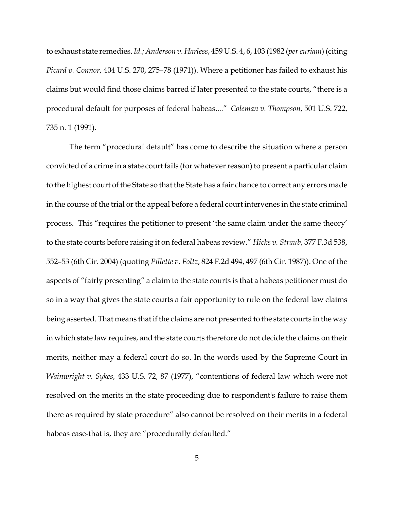to exhaust state remedies. *Id.; Anderson v. Harless*, 459 U.S. 4, 6, 103 (1982 (*per curiam*) (citing *Picard v. Connor*, 404 U.S. 270, 275–78 (1971)). Where a petitioner has failed to exhaust his claims but would find those claims barred if later presented to the state courts, "there is a procedural default for purposes of federal habeas...." *Coleman v. Thompson*, 501 U.S. 722, 735 n. 1 (1991).

The term "procedural default" has come to describe the situation where a person convicted of a crime in a state court fails (for whatever reason) to present a particular claim to the highest court of the State so that the State has a fair chance to correct any errors made in the course of the trial or the appeal before a federal court intervenes in the state criminal process. This "requires the petitioner to present 'the same claim under the same theory' to the state courts before raising it on federal habeas review." *Hicks v. Straub*, 377 F.3d 538, 552–53 (6th Cir. 2004) (quoting *Pillette v. Foltz*, 824 F.2d 494, 497 (6th Cir. 1987)). One of the aspects of "fairly presenting" a claim to the state courts is that a habeas petitioner must do so in a way that gives the state courts a fair opportunity to rule on the federal law claims being asserted. That means that if the claims are not presented to the state courts in the way in which state law requires, and the state courts therefore do not decide the claims on their merits, neither may a federal court do so. In the words used by the Supreme Court in *Wainwright v. Sykes*, 433 U.S. 72, 87 (1977), "contentions of federal law which were not resolved on the merits in the state proceeding due to respondent's failure to raise them there as required by state procedure" also cannot be resolved on their merits in a federal habeas case-that is, they are "procedurally defaulted."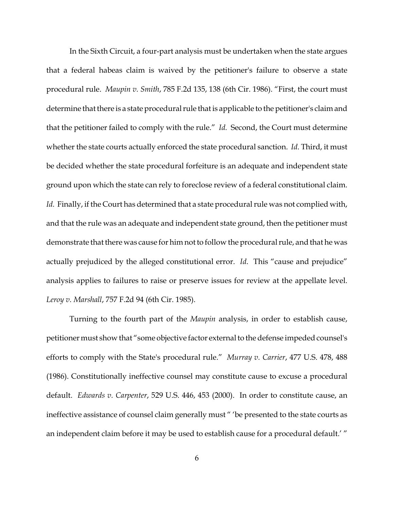In the Sixth Circuit, a four-part analysis must be undertaken when the state argues that a federal habeas claim is waived by the petitioner's failure to observe a state procedural rule. *Maupin v. Smith*, 785 F.2d 135, 138 (6th Cir. 1986). "First, the court must determine that there is a state procedural rule that is applicable to the petitioner's claim and that the petitioner failed to comply with the rule." *Id.* Second, the Court must determine whether the state courts actually enforced the state procedural sanction. *Id*. Third, it must be decided whether the state procedural forfeiture is an adequate and independent state ground upon which the state can rely to foreclose review of a federal constitutional claim. *Id.* Finally, if the Court has determined that a state procedural rule was not complied with, and that the rule was an adequate and independent state ground, then the petitioner must demonstrate that there was cause for him not to follow the procedural rule, and that he was actually prejudiced by the alleged constitutional error. *Id*. This "cause and prejudice" analysis applies to failures to raise or preserve issues for review at the appellate level. *Leroy v. Marshall*, 757 F.2d 94 (6th Cir. 1985).

Turning to the fourth part of the *Maupin* analysis, in order to establish cause, petitioner must show that "some objective factor external to the defense impeded counsel's efforts to comply with the State's procedural rule." *Murray v. Carrier*, 477 U.S. 478, 488 (1986). Constitutionally ineffective counsel may constitute cause to excuse a procedural default. *Edwards v. Carpenter*, 529 U.S. 446, 453 (2000). In order to constitute cause, an ineffective assistance of counsel claim generally must " 'be presented to the state courts as an independent claim before it may be used to establish cause for a procedural default.' "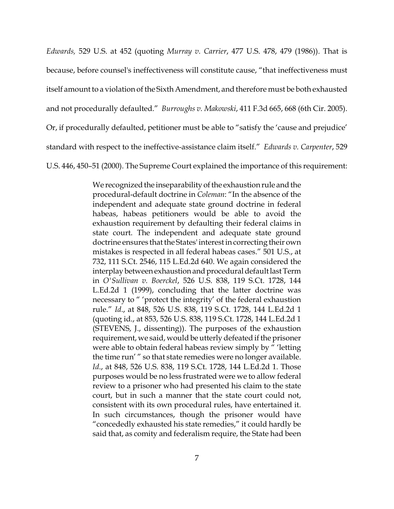*Edwards,* 529 U.S. at 452 (quoting *Murray v. Carrier*, 477 U.S. 478, 479 (1986)). That is because, before counsel's ineffectiveness will constitute cause, "that ineffectiveness must itself amount to a violation of the Sixth Amendment, and therefore must be both exhausted and not procedurally defaulted." *Burroughs v. Makowski*, 411 F.3d 665, 668 (6th Cir. 2005). Or, if procedurally defaulted, petitioner must be able to "satisfy the 'cause and prejudice' standard with respect to the ineffective-assistance claim itself." *Edwards v. Carpenter*, 529 U.S. 446, 450–51 (2000). The Supreme Court explained the importance of this requirement:

> We recognized the inseparability of the exhaustion rule and the procedural-default doctrine in *Coleman*: "In the absence of the independent and adequate state ground doctrine in federal habeas, habeas petitioners would be able to avoid the exhaustion requirement by defaulting their federal claims in state court. The independent and adequate state ground doctrine ensures that the States' interest in correcting their own mistakes is respected in all federal habeas cases." 501 U.S., at 732, 111 S.Ct. 2546, 115 L.Ed.2d 640. We again considered the interplay between exhaustion and procedural default last Term in *O'Sullivan v. Boerckel*, 526 U.S. 838, 119 S.Ct. 1728, 144 L.Ed.2d 1 (1999), concluding that the latter doctrine was necessary to " 'protect the integrity' of the federal exhaustion rule." *Id*., at 848, 526 U.S. 838, 119 S.Ct. 1728, 144 L.Ed.2d 1 (quoting id., at 853, 526 U.S. 838, 119 S.Ct. 1728, 144 L.Ed.2d 1 (STEVENS, J., dissenting)). The purposes of the exhaustion requirement, we said, would be utterly defeated if the prisoner were able to obtain federal habeas review simply by " 'letting the time run' " so that state remedies were no longer available. *Id*., at 848, 526 U.S. 838, 119 S.Ct. 1728, 144 L.Ed.2d 1. Those purposes would be no less frustrated were we to allow federal review to a prisoner who had presented his claim to the state court, but in such a manner that the state court could not, consistent with its own procedural rules, have entertained it. In such circumstances, though the prisoner would have "concededly exhausted his state remedies," it could hardly be said that, as comity and federalism require, the State had been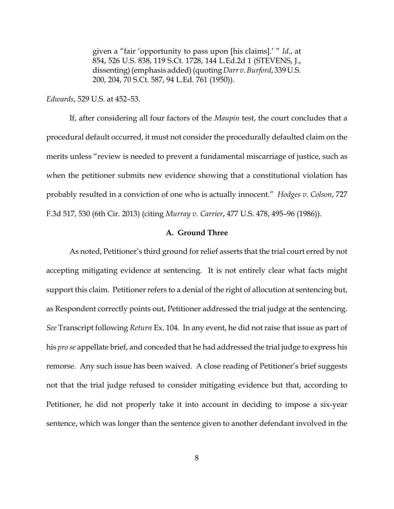given a "fair 'opportunity to pass upon [his claims].' " *Id*., at 854, 526 U.S. 838, 119 S.Ct. 1728, 144 L.Ed.2d 1 (STEVENS, J., dissenting) (emphasis added) (quoting *Darr v. Burford*, 339 U.S. 200, 204, 70 S.Ct. 587, 94 L.Ed. 761 (1950)).

*Edwards*, 529 U.S. at 452–53.

If, after considering all four factors of the *Maupin* test, the court concludes that a procedural default occurred, it must not consider the procedurally defaulted claim on the merits unless "review is needed to prevent a fundamental miscarriage of justice, such as when the petitioner submits new evidence showing that a constitutional violation has probably resulted in a conviction of one who is actually innocent." *Hodges v. Colson*, 727 F.3d 517, 530 (6th Cir. 2013) (citing *Murray v. Carrier*, 477 U.S. 478, 495–96 (1986)).

### **A. Ground Three**

As noted, Petitioner's third ground for relief asserts that the trial court erred by not accepting mitigating evidence at sentencing. It is not entirely clear what facts might support this claim. Petitioner refers to a denial of the right of allocution at sentencing but, as Respondent correctly points out, Petitioner addressed the trial judge at the sentencing. *See* Transcript following *Return* Ex. 104. In any event, he did not raise that issue as part of his *pro se* appellate brief, and conceded that he had addressed the trial judge to express his remorse. Any such issue has been waived. A close reading of Petitioner's brief suggests not that the trial judge refused to consider mitigating evidence but that, according to Petitioner, he did not properly take it into account in deciding to impose a six-year sentence, which was longer than the sentence given to another defendant involved in the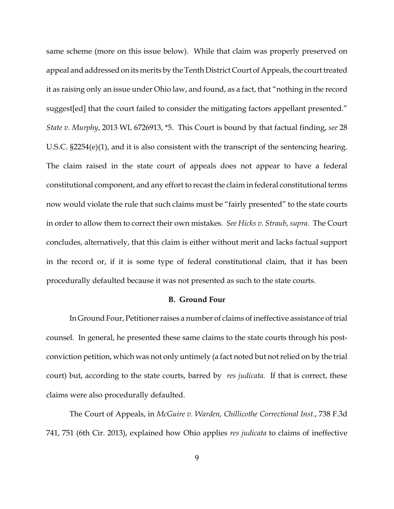same scheme (more on this issue below). While that claim was properly preserved on appeal and addressed on its merits by the Tenth District Court of Appeals, the court treated it as raising only an issue under Ohio law, and found, as a fact, that "nothing in the record suggest[ed] that the court failed to consider the mitigating factors appellant presented." *State v. Murphy*, 2013 WL 6726913, \*5. This Court is bound by that factual finding, *see* 28 U.S.C. §2254(e)(1), and it is also consistent with the transcript of the sentencing hearing. The claim raised in the state court of appeals does not appear to have a federal constitutional component, and any effort to recast the claim in federal constitutional terms now would violate the rule that such claims must be "fairly presented" to the state courts in order to allow them to correct their own mistakes. *See Hicks v. Straub*, *supra*. The Court concludes, alternatively, that this claim is either without merit and lacks factual support in the record or, if it is some type of federal constitutional claim, that it has been procedurally defaulted because it was not presented as such to the state courts.

#### **B. Ground Four**

In Ground Four, Petitioner raises a number of claims of ineffective assistance of trial counsel. In general, he presented these same claims to the state courts through his postconviction petition, which was not only untimely (a fact noted but not relied on by the trial court) but, according to the state courts, barred by *res judicata.* If that is correct, these claims were also procedurally defaulted.

The Court of Appeals, in *McGuire v. Warden, Chillicothe Correctional Inst.*, 738 F.3d 741, 751 (6th Cir. 2013), explained how Ohio applies *res judicata* to claims of ineffective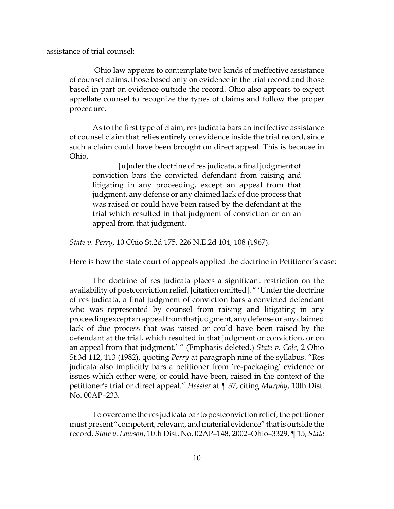assistance of trial counsel:

 Ohio law appears to contemplate two kinds of ineffective assistance of counsel claims, those based only on evidence in the trial record and those based in part on evidence outside the record. Ohio also appears to expect appellate counsel to recognize the types of claims and follow the proper procedure.

As to the first type of claim, res judicata bars an ineffective assistance of counsel claim that relies entirely on evidence inside the trial record, since such a claim could have been brought on direct appeal. This is because in Ohio,

 [u]nder the doctrine of res judicata, a final judgment of conviction bars the convicted defendant from raising and litigating in any proceeding, except an appeal from that judgment, any defense or any claimed lack of due process that was raised or could have been raised by the defendant at the trial which resulted in that judgment of conviction or on an appeal from that judgment.

*State v. Perry*, 10 Ohio St.2d 175, 226 N.E.2d 104, 108 (1967).

Here is how the state court of appeals applied the doctrine in Petitioner's case:

The doctrine of res judicata places a significant restriction on the availability of postconviction relief. [citation omitted]. " 'Under the doctrine of res judicata, a final judgment of conviction bars a convicted defendant who was represented by counsel from raising and litigating in any proceeding except an appeal from that judgment, any defense or any claimed lack of due process that was raised or could have been raised by the defendant at the trial, which resulted in that judgment or conviction, or on an appeal from that judgment.' " (Emphasis deleted.) *State v. Cole*, 2 Ohio St.3d 112, 113 (1982), quoting *Perry* at paragraph nine of the syllabus. "Res judicata also implicitly bars a petitioner from 're-packaging' evidence or issues which either were, or could have been, raised in the context of the petitioner's trial or direct appeal." *Hessler* at ¶ 37, citing *Murphy*, 10th Dist. No. 00AP–233.

To overcome the res judicata bar to postconviction relief, the petitioner must present "competent, relevant, and material evidence" that is outside the record. *State v. Lawson*, 10th Dist. No. 02AP–148, 2002–Ohio–3329, ¶ 15; *State*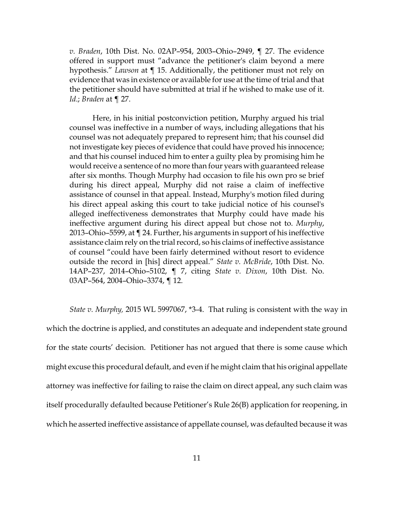*v. Braden*, 10th Dist. No. 02AP–954, 2003–Ohio–2949, ¶ 27. The evidence offered in support must "advance the petitioner's claim beyond a mere hypothesis." *Lawson* at ¶ 15. Additionally, the petitioner must not rely on evidence that was in existence or available for use at the time of trial and that the petitioner should have submitted at trial if he wished to make use of it. *Id*.; *Braden* at ¶ 27.

Here, in his initial postconviction petition, Murphy argued his trial counsel was ineffective in a number of ways, including allegations that his counsel was not adequately prepared to represent him; that his counsel did not investigate key pieces of evidence that could have proved his innocence; and that his counsel induced him to enter a guilty plea by promising him he would receive a sentence of no more than four years with guaranteed release after six months. Though Murphy had occasion to file his own pro se brief during his direct appeal, Murphy did not raise a claim of ineffective assistance of counsel in that appeal. Instead, Murphy's motion filed during his direct appeal asking this court to take judicial notice of his counsel's alleged ineffectiveness demonstrates that Murphy could have made his ineffective argument during his direct appeal but chose not to. *Murphy*, 2013–Ohio–5599, at ¶ 24. Further, his arguments in support of his ineffective assistance claim rely on the trial record, so his claims of ineffective assistance of counsel "could have been fairly determined without resort to evidence outside the record in [his] direct appeal." *State v. McBride*, 10th Dist. No. 14AP–237, 2014–Ohio–5102, ¶ 7, citing *State v. Dixon*, 10th Dist. No. 03AP–564, 2004–Ohio–3374, ¶ 12.

*State v. Murphy,* 2015 WL 5997067, \*3-4. That ruling is consistent with the way in which the doctrine is applied, and constitutes an adequate and independent state ground for the state courts' decision. Petitioner has not argued that there is some cause which might excuse this procedural default, and even if he might claim that his original appellate attorney was ineffective for failing to raise the claim on direct appeal, any such claim was itself procedurally defaulted because Petitioner's Rule 26(B) application for reopening, in which he asserted ineffective assistance of appellate counsel, was defaulted because it was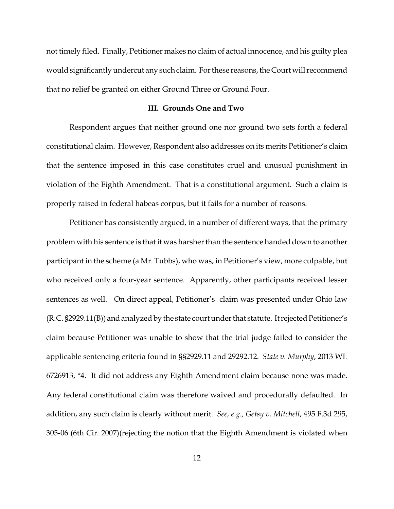not timely filed. Finally, Petitioner makes no claim of actual innocence, and his guilty plea would significantly undercut any such claim. For these reasons, the Court will recommend that no relief be granted on either Ground Three or Ground Four.

#### **III. Grounds One and Two**

Respondent argues that neither ground one nor ground two sets forth a federal constitutional claim. However, Respondent also addresses on its merits Petitioner's claim that the sentence imposed in this case constitutes cruel and unusual punishment in violation of the Eighth Amendment. That is a constitutional argument. Such a claim is properly raised in federal habeas corpus, but it fails for a number of reasons.

Petitioner has consistently argued, in a number of different ways, that the primary problem with his sentence is that it was harsher than the sentence handed down to another participant in the scheme (a Mr. Tubbs), who was, in Petitioner's view, more culpable, but who received only a four-year sentence. Apparently, other participants received lesser sentences as well. On direct appeal, Petitioner's claim was presented under Ohio law (R.C. §2929.11(B)) and analyzed by the state court under that statute. It rejected Petitioner's claim because Petitioner was unable to show that the trial judge failed to consider the applicable sentencing criteria found in §§2929.11 and 29292.12. *State v. Murphy*, 2013 WL 6726913, \*4. It did not address any Eighth Amendment claim because none was made. Any federal constitutional claim was therefore waived and procedurally defaulted. In addition, any such claim is clearly without merit. *See, e.g., Getsy v. Mitchell*, 495 F.3d 295, 305-06 (6th Cir. 2007)(rejecting the notion that the Eighth Amendment is violated when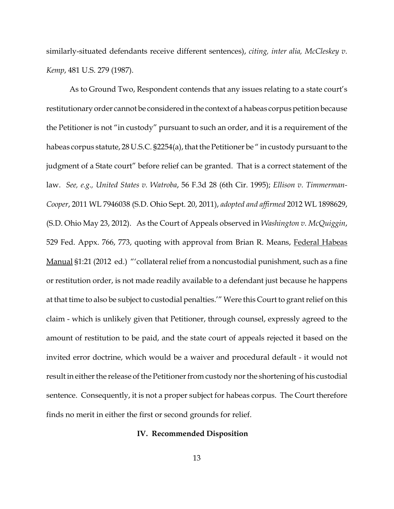similarly-situated defendants receive different sentences), *citing, inter alia, McCleskey v. Kemp*, 481 U.S. 279 (1987).

As to Ground Two, Respondent contends that any issues relating to a state court's restitutionary order cannot be considered in the context of a habeas corpus petition because the Petitioner is not "in custody" pursuant to such an order, and it is a requirement of the habeas corpus statute, 28 U.S.C. §2254(a), that the Petitioner be " in custody pursuant to the judgment of a State court" before relief can be granted. That is a correct statement of the law. *See, e.g., United States v. Watroba*, 56 F.3d 28 (6th Cir. 1995); *Ellison v. Timmerman-Cooper*, 2011 WL 7946038 (S.D. Ohio Sept. 20, 2011), *adopted and affirmed* 2012 WL 1898629, (S.D. Ohio May 23, 2012). As the Court of Appeals observed in *Washington v. McQuiggin*, 529 Fed. Appx. 766, 773, quoting with approval from Brian R. Means, Federal Habeas Manual §1:21 (2012 ed.) "'collateral relief from a noncustodial punishment, such as a fine or restitution order, is not made readily available to a defendant just because he happens at that time to also be subject to custodial penalties.'" Were this Court to grant relief on this claim - which is unlikely given that Petitioner, through counsel, expressly agreed to the amount of restitution to be paid, and the state court of appeals rejected it based on the invited error doctrine, which would be a waiver and procedural default - it would not result in either the release of the Petitioner from custody nor the shortening of his custodial sentence. Consequently, it is not a proper subject for habeas corpus. The Court therefore finds no merit in either the first or second grounds for relief.

#### **IV. Recommended Disposition**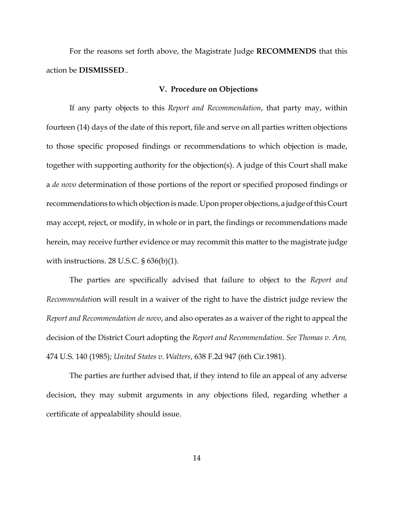For the reasons set forth above, the Magistrate Judge **RECOMMENDS** that this action be **DISMISSED**..

#### **V. Procedure on Objections**

If any party objects to this *Report and Recommendation*, that party may, within fourteen (14) days of the date of this report, file and serve on all parties written objections to those specific proposed findings or recommendations to which objection is made, together with supporting authority for the objection(s). A judge of this Court shall make a *de novo* determination of those portions of the report or specified proposed findings or recommendations to which objection is made. Upon proper objections, a judge of this Court may accept, reject, or modify, in whole or in part, the findings or recommendations made herein, may receive further evidence or may recommit this matter to the magistrate judge with instructions. 28 U.S.C.  $\S$  636(b)(1).

The parties are specifically advised that failure to object to the *Report and Recommendati*on will result in a waiver of the right to have the district judge review the *Report and Recommendation de novo*, and also operates as a waiver of the right to appeal the decision of the District Court adopting the *Report and Recommendation. See Thomas v. Arn,* 474 U.S. 140 (1985); *United States v. Walters*, 638 F.2d 947 (6th Cir.1981).

The parties are further advised that, if they intend to file an appeal of any adverse decision, they may submit arguments in any objections filed, regarding whether a certificate of appealability should issue.